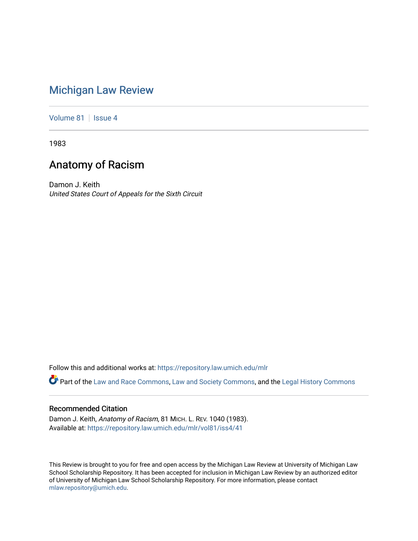## [Michigan Law Review](https://repository.law.umich.edu/mlr)

[Volume 81](https://repository.law.umich.edu/mlr/vol81) | [Issue 4](https://repository.law.umich.edu/mlr/vol81/iss4)

1983

# Anatomy of Racism

Damon J. Keith United States Court of Appeals for the Sixth Circuit

Follow this and additional works at: [https://repository.law.umich.edu/mlr](https://repository.law.umich.edu/mlr?utm_source=repository.law.umich.edu%2Fmlr%2Fvol81%2Fiss4%2F41&utm_medium=PDF&utm_campaign=PDFCoverPages) 

Part of the [Law and Race Commons,](http://network.bepress.com/hgg/discipline/1300?utm_source=repository.law.umich.edu%2Fmlr%2Fvol81%2Fiss4%2F41&utm_medium=PDF&utm_campaign=PDFCoverPages) [Law and Society Commons](http://network.bepress.com/hgg/discipline/853?utm_source=repository.law.umich.edu%2Fmlr%2Fvol81%2Fiss4%2F41&utm_medium=PDF&utm_campaign=PDFCoverPages), and the [Legal History Commons](http://network.bepress.com/hgg/discipline/904?utm_source=repository.law.umich.edu%2Fmlr%2Fvol81%2Fiss4%2F41&utm_medium=PDF&utm_campaign=PDFCoverPages)

### Recommended Citation

Damon J. Keith, Anatomy of Racism, 81 MICH. L. REV. 1040 (1983). Available at: [https://repository.law.umich.edu/mlr/vol81/iss4/41](https://repository.law.umich.edu/mlr/vol81/iss4/41?utm_source=repository.law.umich.edu%2Fmlr%2Fvol81%2Fiss4%2F41&utm_medium=PDF&utm_campaign=PDFCoverPages) 

This Review is brought to you for free and open access by the Michigan Law Review at University of Michigan Law School Scholarship Repository. It has been accepted for inclusion in Michigan Law Review by an authorized editor of University of Michigan Law School Scholarship Repository. For more information, please contact [mlaw.repository@umich.edu.](mailto:mlaw.repository@umich.edu)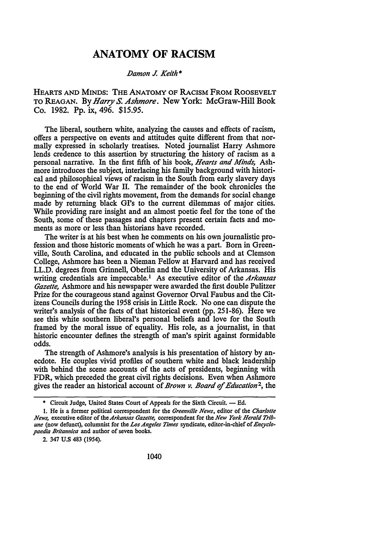### **ANATOMY OF RACISM**

#### *.Damon J. Keith\**

HEARTS AND MINDS: THE ANATOMY OF RACISM FROM ROOSEVELT TO REAGAN. By *Harry* S. *Ashmore.* New York: McGraw-Hill Book Co. 1982. Pp. ix, 496. \$15.95.

The liberal, southern white, analyzing the causes and effects of racism, offers a perspective on events and attitudes quite different from that normally expressed in scholarly treatises. Noted journalist Harry Ashmore lends credence to this assertion by structuring the history of racism as a personal narrative. In the first fifth of his book, *Hearts and Minds,* Ashmore introduces the subject, interlacing his family background with historical and philosophical views of racism in the South from early slavery days to the end of World War II. The remainder of the book chronicles the beginning of the civil rights movement, from the demands for social change made by returning black Gl's to the current dilemmas of major cities. While providing rare insight and an almost poetic feel for the tone of the South, some of these passages and chapters present certain facts and moments as more or less than historians have recorded.

The writer is at his best when he comments on his own journalistic profession and those historic moments of which he was a part. Born in Greenville, South Carolina, and educated in the public schools and at Clemson College, Ashmore has been a Nieman Fellow at Harvard and has received LL.D. degrees from Grinnell, Oberlin and the University of Arkansas. His writing credentials are impeccable.<sup>1</sup> As executive editor of the *Arkansas Gazelle,* Ashmore and his newspaper were awarded the first double Pulitzer Prize for the courageous stand against Governor Orval Faubus and the Citizens Councils during the 1958 crisis in Little Rock. No one can dispute the writer's analysis of the facts of that historical event (pp. 251-86). Here we see this white southern liberal's personal beliefs and love for the South framed by the moral issue of equality. His role, as a journalist, in that historic encounter defines the strength of man's spirit against formidable odds.

The strength of Ashmore's analysis is his presentation of history by anecdote. He couples vivid profiles of southern white and black leadership with behind the scene accounts of the acts of presidents, beginning with FDR, which preceded the great civil rights decisions. Even when Ashmore gives the reader an historical account of *Brown v. Board of Education* 2, the

2. 347 u.s 483 (1954).

<sup>\*</sup> Circuit Judge, United States Court of Appeals for the Sixth Circuit. - Ed.

I. He is a former political correspondent for the *Greenville News,* editor of the *Char/olle News, executive editor of the Arkansas Gazette, correspondent for the New York Herald Tribune* (now defunct), columnist for the *Los Angeles Times* syndicate, editor-in-chief of *Encyclopaedia Britannica* and author of seven books.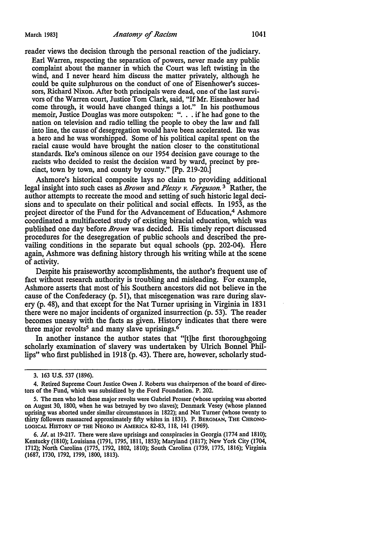reader views the decision through the personal reaction of the judiciary.

Earl Warren, respecting the separation of powers, never made any public complaint about the manner in which the Court was left twisting in the wind, and I never heard him discuss the matter privately, although he could be quite sulphurous on the conduct of one of Eisenhower's successors, Richard Nixon. After both principals were dead, one of the last survivors of the Warren court, Justice Tom Clark, said, "If Mr. Eisenhower had come through, it would have changed things a lot." In his posthumous memoir, Justice Douglas was more outspoken: ". . . if he had gone to the nation on television and radio telling the people to obey the law and fall into line, the cause of desegregation would have been accelerated. Ike was a hero and he was worshipped. Some of his political capital spent on the racial cause would have brought the nation closer to the constitutional standards. Ike's ominous silence on our 1954 decision gave courage to the racists who decided to resist the decision ward by ward, precinct by precinct, town by town, and county by county." [Pp. 219-20.]

Ashmore's historical composite lays no claim to providing additional legal insight into such cases as *Brown* and *Plessy v. Ferguson*.<sup>3</sup> Rather, the author attempts to recreate the mood and setting of such historic legal decisions and to speculate on their political and social effects. In 1953, as the project director of the Fund for the Advancement of Education,<sup>4</sup>Ashmore coordinated a multifaceted study of existing biracial education, which was published one day before *Brown* was decided. His timely report discussed procedures for the desegregation of public schools and described the prevailing conditions in the separate but equal schools (pp. 202-04). Here again, Ashmore was defining history through his writing while at the scene of activity.

Despite his praiseworthy accomplishments, the author's frequent use of fact without research authority is troubling and misleading. For example, Ashmore asserts that most of his Southern ancestors did not believe in the cause of the Confederacy (p. 51), that miscegenation was rare during slavery (p. 48), and that except for the Nat Turner uprising in Virginia in 1831 there were no major incidents of organized insurrection (p. 53). The reader becomes uneasy with the facts as given. History indicates that there were three major revolts<sup>5</sup> and many slave uprisings.<sup>6</sup>

In another instance the author states that "[t]he first thoroughgoing scholarly examination of slavery was undertaken by Ulrich Bonnel Phillips" who first published in 1918 (p. 43). There are, however, scholarly stud-

6. *Id.* at 19-217. There were slave uprisings and conspiracies in Georgia (1774 and 1810); Kentucky (1810); Louisiana (1791, 1795, 1811, 1853); Maryland (1817); New York City (1704, 1712); North Carolina (1775, 1792, 1802, 1810); South Carolina (1739, 1775, 1816); Virginia (1687, 1730, 1792, 1799, 1800, 1813).

<sup>3. 163</sup> U.S. 537 (1896).

<sup>4.</sup> Retired Supreme Court Justice Owen J. Roberts was chairperson of the board of directors of the Fund, which was subsidized by the Ford Foundation. P. 202.

*<sup>5.</sup>* The men who led these major revolts were Gabriel Prosser (whose uprising was aborted on August 30, 1800, when he was betrayed by two slaves); Denmark Vesey (whose planned uprising was aborted under similar circumstances in 1822); and Nat Turner (whose twenty to thirty followers massacred approximately fifty whites in 1831). P. BERGMAN, THE CHRONO-LOGICAL HISTORY OF THE NEGRO IN AMERICA 82-83, 118, 141 (1969).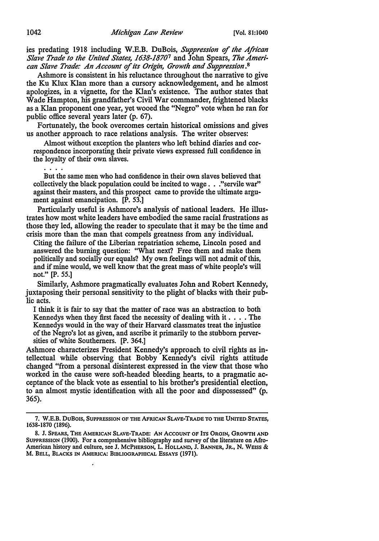ies predating 1918 including W.E.B. DuBois, *Suppression* of *the African Slave Trade to the United States, 1638-1870*7 and John Spears, *The American Slave Trade: An Account* of *its Origin, Growth and Suppression.*<sup>8</sup>

Ashmore is consistent in his reluctance throughout the narrative to give the Ku Klux Klan more than a cursory acknowledgement, and he almost apologizes, in a vignette, for the Klan's existence. The author states that Wade Hampton, his grandfather's Civil War commander, frightened blacks as a Klan proponent one year, yet wooed the "Negro" vote when he ran for public office several years later (p. 67).

Fortunately, the book overcomes certain historical omissions and gives us another approach to race relations analysis. The writer observes:

Almost without exception the planters who left behind diaries and correspondence incorporating their private views expressed full confidence in the loyalty of their own slaves.

But the same men who had confidence in their own slaves believed that collectively the black population could be incited to wage ... "servile war" against their masters, and this prospect came to provide the ultimate argument against emancipation. [P. 53.]

Particularly useful is Ashmore's analysis of national leaders. He illustrates how most white leaders have embodied the same racial frustrations as those they led, allowing the reader to speculate that it may be the time and crisis more than the man that compels greatness from any individual.

Citing the failure of the Liberian repatriation scheme, Lincoln posed and answered the burning question: "What next? Free them and make them politically and socially our equals? My own feelings will not admit of this, and if mine would, we well know that the great mass of white people's will not." [P. 55.]

Similarly, Ashmore pragmatically evaluates John and Robert Kennedy, juxtaposing their personal sensitivity to the plight of blacks with their public acts.

I think it is fair to say that the matter of race was an abstraction to both Kennedys when they first faced the necessity of dealing with it  $\dots$ . The Kennedys would in the way of their Harvard classmates treat the injustice of the Negro's lot as given, and ascribe it primarily to the stubborn perversities of white Southerners. [P. 364.]

Ashmore characterizes President Kennedy's approach to civil rights as intellectual while observing that Bobby Kennedy's civil rights attitude changed "from a personal disinterest expressed in the view that those who worked in the cause were soft-headed bleeding hearts, to a pragmatic acceptance of the black vote as essential to his brother's presidential election, to an almost mystic identification with all the poor and dispossessed" (p. 365).

<sup>7.</sup> W.E.B. DUBOIS, SUPPRESSION OF THE AFRICAN SLAVE-TRADE TO THE UNITED STATES, 1638-1870 (1896).

<sup>8.</sup> J. SPEARS, THE AMERICAN SLAVE-TRADE: AN ACCOUNT OF ITS OROIN, GROWTH AND SUPPRESSION (1900). For a comprehensive bibliography and survey of the literature on Afro-American history and culture, see J. McPHERSON, L. HOLLAND, J. BANNER, JR., N. WEISS & M. BELL, BLACKS IN AMERICA: BIBLIOGRAPHICAL ESSAYS (1971).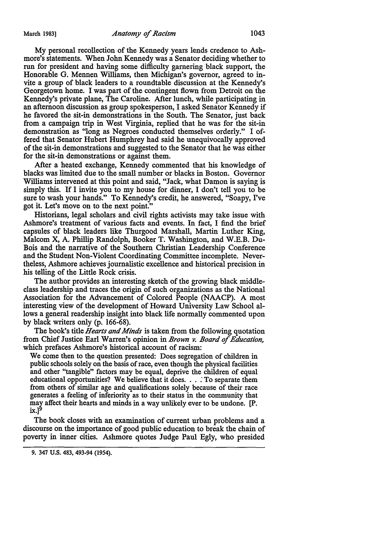My personal recollection of the Kennedy years lends credence to Ashmore's statements. When John Kennedy was a Senator deciding whether to run for president and having some difficulty garnering black support, the Honorable G. Mennen Williams, then Michigan's governor, agreed to invite a group of black leaders to a roundtable discussion at the Kennedy's Georgetown home. I was part of the contingent flown from Detroit on the Kennedy's private plane, The Caroline. After lunch, while participating in an afternoon discussion as group spokesperson, I asked Senator Kennedy if he favored the sit-in demonstrations in the South. The Senator, just back from a campaign trip in West Virginia, replied that he was for the sit-in demonstration as "long as Negroes conducted themselves orderly." I of-

fered that Senator Hubert Humphrey had said he unequivocally approved of the sit-in demonstrations and suggested to the Senator that he was either for the sit-in demonstrations or against them.

After a heated exchange, Kennedy commented that his knowledge of blacks was limited due to the small number or blacks in Boston. Governor Williams intervened at this point and said, "Jack, what Damon is saying is simply this. If I invite you to my house for dinner, I don't tell you to be sure to wash your hands." To Kennedy's credit, he answered, "Soapy, I've got it. Let's move on to the next point."

Historians, legal scholars and civil rights activists may take issue with Ashmore's treatment of various facts and events. In fact, I find the brief capsules of black leaders like Thurgood Marshall, Martin Luther King, Malcom X, A. Phillip Randolph, Booker T. Washington, and W.E.B. Du-Bois and the narrative of the Southern Christian Leadership Conference and the Student Non-Violent Coordinating Committee incomplete. Nevertheless, Ashmore achieves journalistic excellence and historical precision in his telling of the Little Rock crisis.

The author provides an interesting sketch of the growing black middleclass leadership and traces the origin of such organizations as the National Association for the Advancement of Colored People (NAACP). A most interesting view of the development of Howard University Law School allows a general readership insight into black life normally commented upon by black writers only (p. 166-68).

The book's title *Hearts and Minds* is taken from the following quotation from Chief Justice Earl Warren's opinion in *Brown v. Board* of *Education,*  which prefaces Ashmore's historical account of racism:

We come then to the question presented: Does segregation of children in public schools solely on the basis of race, even though the physical facilities and other "tangible" factors may be equal, deprive the children of equal educational opportunities? We believe that it does ... *:* To separate them from others of similar age and qualifications solely because of their race generates a feeling of inferiority as to their status in the community that may affect their hearts and minds in a way unlikely ever to be undone. [P.  $ix.$ ]<sup>9</sup>

The book closes with an examination of current urban problems and a discourse on the importance of good public education to break the chain of poverty in inner cities. Ashmore quotes Judge Paul Egly, who presided

<sup>9. 347</sup> U.S. 483, 493-94 (1954).